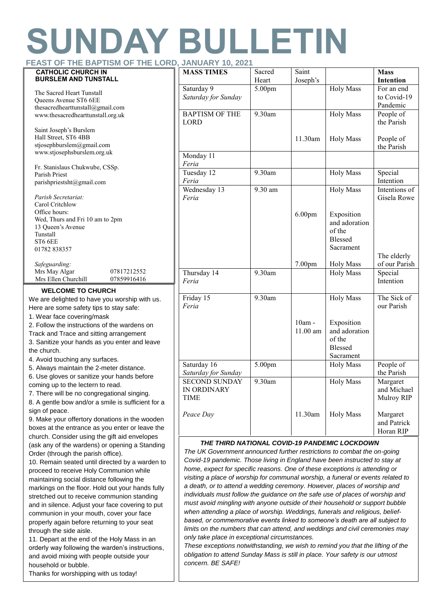# **SUNDAY BULLETIN**

| FEAST OF THE BAPTISM OF THE LORD, JANUARY 10, 2021 |                                                                                  |         |                    |                  |               |
|----------------------------------------------------|----------------------------------------------------------------------------------|---------|--------------------|------------------|---------------|
| <b>CATHOLIC CHURCH IN</b>                          | <b>MASS TIMES</b>                                                                | Sacred  | Saint              |                  | <b>Mass</b>   |
| <b>BURSLEM AND TUNSTALL</b>                        |                                                                                  | Heart   | Joseph's           |                  | Intention     |
| The Sacred Heart Tunstall                          | Saturday 9                                                                       | 5.00pm  |                    | <b>Holy Mass</b> | For an end    |
| Queens Avenue ST6 6EE                              | Saturday for Sunday                                                              |         |                    |                  | to Covid-19   |
| thesacredhearttunstall@gmail.com                   |                                                                                  |         |                    |                  | Pandemic      |
| www.thesacredhearttunstall.org.uk                  | <b>BAPTISM OF THE</b>                                                            | 9.30am  |                    | <b>Holy Mass</b> | People of     |
|                                                    | <b>LORD</b>                                                                      |         |                    |                  | the Parish    |
| Saint Joseph's Burslem                             |                                                                                  |         |                    |                  |               |
| Hall Street, ST6 4BB                               |                                                                                  |         | 11.30am            | <b>Holy Mass</b> | People of     |
| stjosephburslem@gmail.com                          |                                                                                  |         |                    |                  | the Parish    |
| www.stjosephsburslem.org.uk                        | Monday 11                                                                        |         |                    |                  |               |
| Fr. Stanislaus Chukwube, CSSp.                     | Feria                                                                            |         |                    |                  |               |
| Parish Priest                                      | Tuesday 12                                                                       | 9.30am  |                    | <b>Holy Mass</b> | Special       |
| parishpriestsht@gmail.com                          | Feria                                                                            |         |                    |                  | Intention     |
|                                                    | Wednesday 13                                                                     | 9.30 am |                    | <b>Holy Mass</b> | Intentions of |
| Parish Secretariat:                                | Feria                                                                            |         |                    |                  | Gisela Rowe   |
| Carol Critchlow                                    |                                                                                  |         |                    |                  |               |
| Office hours:                                      |                                                                                  |         | 6.00 <sub>pm</sub> | Exposition       |               |
| Wed, Thurs and Fri 10 am to 2pm                    |                                                                                  |         |                    | and adoration    |               |
| 13 Queen's Avenue                                  |                                                                                  |         |                    | of the           |               |
| Tunstall<br>ST6 6EE                                |                                                                                  |         |                    | <b>Blessed</b>   |               |
| 01782 838357                                       |                                                                                  |         |                    | Sacrament        |               |
|                                                    |                                                                                  |         |                    |                  | The elderly   |
| Safeguarding:                                      |                                                                                  |         | 7.00 <sub>pm</sub> | <b>Holy Mass</b> | of our Parish |
| Mrs May Algar<br>07817212552                       | Thursday 14                                                                      | 9.30am  |                    | <b>Holy Mass</b> | Special       |
| Mrs Ellen Churchill<br>07859916416                 | Feria                                                                            |         |                    |                  | Intention     |
| <b>WELCOME TO CHURCH</b>                           |                                                                                  |         |                    |                  |               |
| We are delighted to have you worship with us.      | Friday 15                                                                        | 9.30am  |                    | <b>Holy Mass</b> | The Sick of   |
| Here are some safety tips to stay safe:            | Feria                                                                            |         |                    |                  | our Parish    |
| 1. Wear face covering/mask                         |                                                                                  |         |                    |                  |               |
| 2. Follow the instructions of the wardens on       |                                                                                  |         | $10am -$           | Exposition       |               |
|                                                    |                                                                                  |         | 11.00 am           | and adoration    |               |
| Track and Trace and sitting arrangement            |                                                                                  |         |                    | of the           |               |
| 3. Sanitize your hands as you enter and leave      |                                                                                  |         |                    | Blessed          |               |
| the church.                                        |                                                                                  |         |                    | Sacrament        |               |
| 4. Avoid touching any surfaces.                    | Saturday 16                                                                      | 5.00pm  |                    | <b>Holy Mass</b> | People of     |
| 5. Always maintain the 2-meter distance.           | Saturday for Sunday                                                              |         |                    |                  | the Parish    |
| 6. Use gloves or sanitize your hands before        | <b>SECOND SUNDAY</b>                                                             | 9.30am  |                    | <b>Holy Mass</b> | Margaret      |
| coming up to the lectern to read.                  | IN ORDINARY                                                                      |         |                    |                  | and Michael   |
| 7. There will be no congregational singing.        | <b>TIME</b>                                                                      |         |                    |                  | Mulroy RIP    |
| 8. A gentle bow and/or a smile is sufficient for a |                                                                                  |         |                    |                  |               |
| sign of peace.                                     | Peace Day                                                                        |         | 11.30am            | <b>Holy Mass</b> | Margaret      |
| 9. Make your offertory donations in the wooden     |                                                                                  |         |                    |                  | and Patrick   |
| boxes at the entrance as you enter or leave the    |                                                                                  |         |                    |                  | Horan RIP     |
| church. Consider using the gift aid envelopes      |                                                                                  |         |                    |                  |               |
| (ask any of the wardens) or opening a Standing     | THE THIRD NATIONAL COVID-19 PANDEMIC LOCKDOWN                                    |         |                    |                  |               |
| Order (through the parish office).                 | The UK Government announced further restrictions to combat the on-going          |         |                    |                  |               |
| 10. Remain seated until directed by a warden to    | Covid-19 pandemic. Those living in England have been instructed to stay at       |         |                    |                  |               |
| proceed to receive Holy Communion while            | home, expect for specific reasons. One of these exceptions is attending or       |         |                    |                  |               |
| maintaining social distance following the          | visiting a place of worship for communal worship, a funeral or events related to |         |                    |                  |               |
| markings on the floor. Hold out your hands fully   | a death, or to attend a wedding ceremony. However, places of worship and         |         |                    |                  |               |
| stretched out to receive communion standing        | individuals must follow the guidance on the safe use of places of worship and    |         |                    |                  |               |
| and in silence. Adjust your face covering to put   | must avoid mingling with anyone outside of their household or support bubble     |         |                    |                  |               |
| communion in your mouth, cover your face           | when attending a place of worship. Weddings, funerals and religious, belief-     |         |                    |                  |               |
|                                                    | based, or commemorative events linked to someone's death are all subject to      |         |                    |                  |               |
| properly again before returning to your seat       | limits on the numbers that can attend, and weddings and civil ceremonies may     |         |                    |                  |               |
| through the side aisle.                            | only take place in exceptional circumstances.                                    |         |                    |                  |               |
| 11 Depart at the end of the Holy Mass in an        |                                                                                  |         |                    |                  |               |

11. Depart at the end of the Holy Mass in an orderly way following the warden's instructions, and avoid mixing with people outside your household or bubble.

Thanks for worshipping with us today!

*These exceptions notwithstanding, we wish to remind you that the lifting of the obligation to attend Sunday Mass is still in place. Your safety is our utmost concern. BE SAFE!*